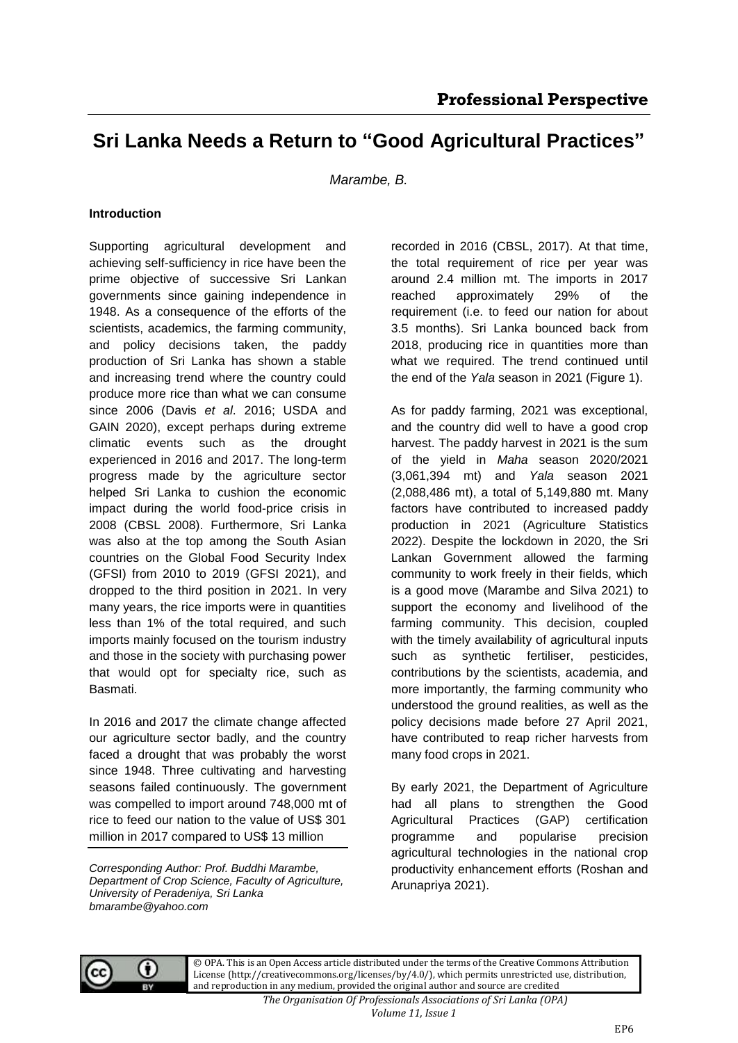# **Sri Lanka Needs a Return to "Good Agricultural Practices"**

*Marambe, B.*

#### **Introduction**

Supporting agricultural development and achieving self-sufficiency in rice have been the prime objective of successive Sri Lankan governments since gaining independence in 1948. As a consequence of the efforts of the scientists, academics, the farming community, and policy decisions taken, the paddy production of Sri Lanka has shown a stable and increasing trend where the country could produce more rice than what we can consume since 2006 (Davis *et al*. 2016; USDA and GAIN 2020), except perhaps during extreme climatic events such as the drought experienced in 2016 and 2017. The long-term progress made by the agriculture sector helped Sri Lanka to cushion the economic impact during the world food-price crisis in 2008 (CBSL 2008). Furthermore, Sri Lanka was also at the top among the South Asian countries on the Global Food Security Index (GFSI) from 2010 to 2019 (GFSI 2021), and dropped to the third position in 2021. In very many years, the rice imports were in quantities less than 1% of the total required, and such imports mainly focused on the tourism industry and those in the society with purchasing power that would opt for specialty rice, such as Basmati.

In 2016 and 2017 the climate change affected our agriculture sector badly, and the country faced a drought that was probably the worst since 1948. Three cultivating and harvesting seasons failed continuously. The government was compelled to import around 748,000 mt of rice to feed our nation to the value of US\$ 301 million in 2017 compared to US\$ 13 million

*Corresponding Author: Prof. Buddhi Marambe, Department of Crop Science, Faculty of Agriculture, University of Peradeniya, Sri Lanka bmarambe@yahoo.com*

recorded in 2016 (CBSL, 2017). At that time, the total requirement of rice per year was around 2.4 million mt. The imports in 2017 reached approximately 29% of the requirement (i.e. to feed our nation for about 3.5 months). Sri Lanka bounced back from 2018, producing rice in quantities more than what we required. The trend continued until the end of the *Yala* season in 2021 (Figure 1).

As for paddy farming, 2021 was exceptional, and the country did well to have a good crop harvest. The paddy harvest in 2021 is the sum of the yield in *Maha* season 2020/2021 (3,061,394 mt) and *Yala* season 2021 (2,088,486 mt), a total of 5,149,880 mt. Many factors have contributed to increased paddy production in 2021 (Agriculture Statistics 2022). Despite the lockdown in 2020, the Sri Lankan Government allowed the farming community to work freely in their fields, which is a good move (Marambe and Silva 2021) to support the economy and livelihood of the farming community. This decision, coupled with the timely availability of agricultural inputs such as synthetic fertiliser, pesticides, contributions by the scientists, academia, and more importantly, the farming community who understood the ground realities, as well as the policy decisions made before 27 April 2021, have contributed to reap richer harvests from many food crops in 2021.

By early 2021, the Department of Agriculture had all plans to strengthen the Good Agricultural Practices (GAP) certification programme and popularise precision agricultural technologies in the national crop productivity enhancement efforts (Roshan and Arunapriya 2021).



© OPA. This is an Open Access article distributed under the terms of the Creative Commons Attribution License (http://creativecommons.org/licenses/by/4.0/), which permits unrestricted use, distribution, and reproduction in any medium, provided the original author and source are credited

> *The Organisation Of Professionals Associations of Sri Lanka (OPA) Volume 11, Issue 1*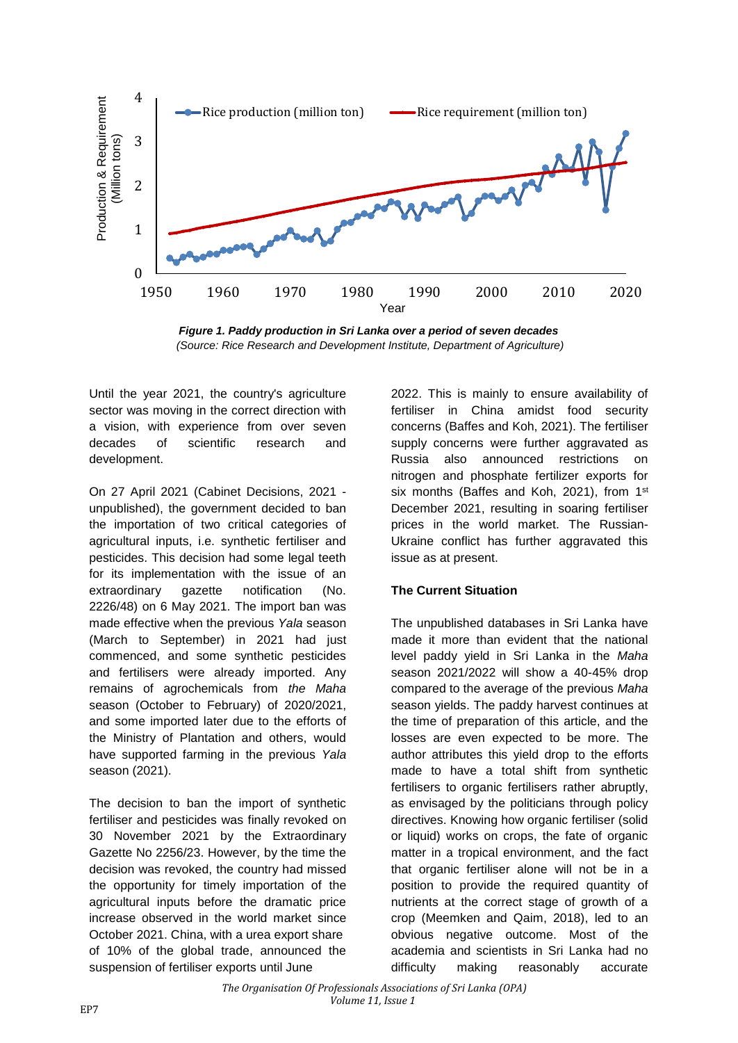

*Figure 1. Paddy production in Sri Lanka over a period of seven decades (Source: Rice Research and Development Institute, Department of Agriculture)*

Until the year 2021, the country's agriculture sector was moving in the correct direction with a vision, with experience from over seven decades of scientific research and development.

On 27 April 2021 (Cabinet Decisions, 2021 unpublished), the government decided to ban the importation of two critical categories of agricultural inputs, i.e. synthetic fertiliser and pesticides. This decision had some legal teeth for its implementation with the issue of an extraordinary gazette notification (No. 2226/48) on 6 May 2021. The import ban was made effective when the previous *Yala* season (March to September) in 2021 had just commenced, and some synthetic pesticides and fertilisers were already imported. Any remains of agrochemicals from *the Maha* season (October to February) of 2020/2021, and some imported later due to the efforts of the Ministry of Plantation and others, would have supported farming in the previous *Yala* season (2021).

The decision to ban the import of synthetic fertiliser and pesticides was finally revoked on 30 November 2021 by the Extraordinary Gazette No 2256/23. However, by the time the decision was revoked, the country had missed the opportunity for timely importation of the agricultural inputs before the dramatic price increase observed in the world market since October 2021. China, with a urea export share of 10% of the global trade, announced the suspension of fertiliser exports until June

2022. This is mainly to ensure availability of fertiliser in China amidst food security concerns (Baffes and Koh, 2021). The fertiliser supply concerns were further aggravated as Russia also announced restrictions on nitrogen and phosphate fertilizer exports for six months (Baffes and Koh, 2021), from 1<sup>st</sup> December 2021, resulting in soaring fertiliser prices in the world market. The Russian-Ukraine conflict has further aggravated this issue as at present.

### **The Current Situation**

The unpublished databases in Sri Lanka have made it more than evident that the national level paddy yield in Sri Lanka in the *Maha* season 2021/2022 will show a 40-45% drop compared to the average of the previous *Maha* season yields. The paddy harvest continues at the time of preparation of this article, and the losses are even expected to be more. The author attributes this yield drop to the efforts made to have a total shift from synthetic fertilisers to organic fertilisers rather abruptly, as envisaged by the politicians through policy directives. Knowing how organic fertiliser (solid or liquid) works on crops, the fate of organic matter in a tropical environment, and the fact that organic fertiliser alone will not be in a position to provide the required quantity of nutrients at the correct stage of growth of a crop (Meemken and Qaim, 2018), led to an obvious negative outcome. Most of the academia and scientists in Sri Lanka had no difficulty making reasonably accurate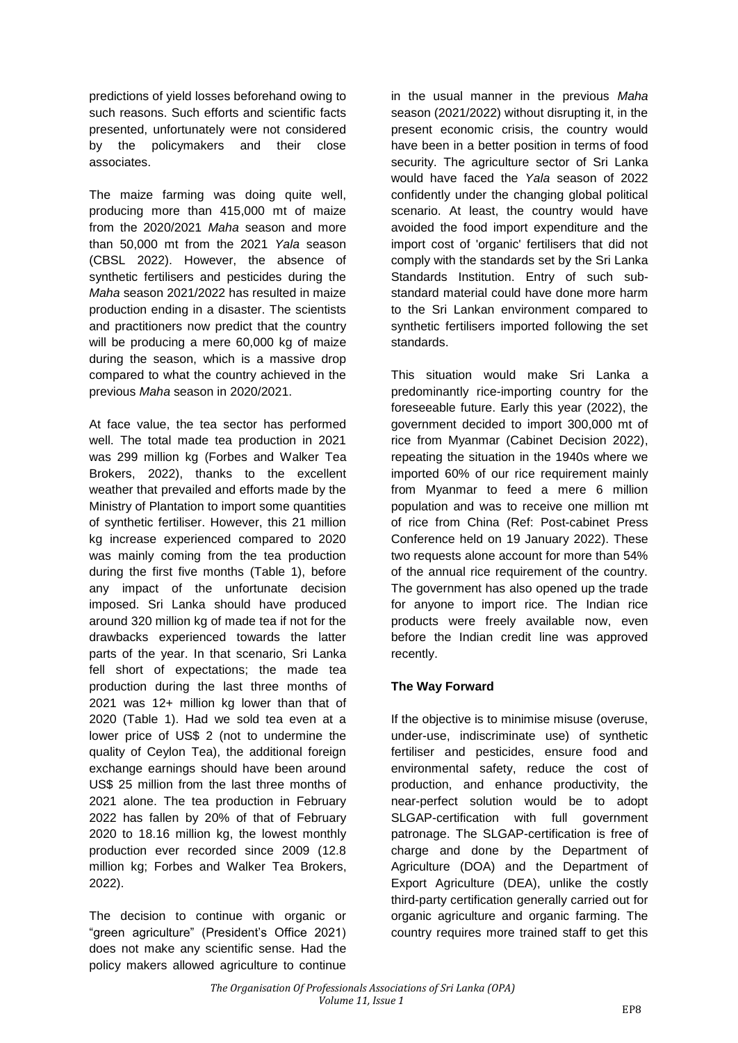predictions of yield losses beforehand owing to such reasons. Such efforts and scientific facts presented, unfortunately were not considered by the policymakers and their close associates.

The maize farming was doing quite well, producing more than 415,000 mt of maize from the 2020/2021 *Maha* season and more than 50,000 mt from the 2021 *Yala* season (CBSL 2022). However, the absence of synthetic fertilisers and pesticides during the *Maha* season 2021/2022 has resulted in maize production ending in a disaster. The scientists and practitioners now predict that the country will be producing a mere 60,000 kg of maize during the season, which is a massive drop compared to what the country achieved in the previous *Maha* season in 2020/2021.

At face value, the tea sector has performed well. The total made tea production in 2021 was 299 million kg (Forbes and Walker Tea Brokers, 2022), thanks to the excellent weather that prevailed and efforts made by the Ministry of Plantation to import some quantities of synthetic fertiliser. However, this 21 million kg increase experienced compared to 2020 was mainly coming from the tea production during the first five months (Table 1), before any impact of the unfortunate decision imposed. Sri Lanka should have produced around 320 million kg of made tea if not for the drawbacks experienced towards the latter parts of the year. In that scenario, Sri Lanka fell short of expectations; the made tea production during the last three months of 2021 was 12+ million kg lower than that of 2020 (Table 1). Had we sold tea even at a lower price of US\$ 2 (not to undermine the quality of Ceylon Tea), the additional foreign exchange earnings should have been around US\$ 25 million from the last three months of 2021 alone. The tea production in February 2022 has fallen by 20% of that of February 2020 to 18.16 million kg, the lowest monthly production ever recorded since 2009 (12.8 million kg; Forbes and Walker Tea Brokers, 2022).

The decision to continue with organic or "green agriculture" (President's Office 2021) does not make any scientific sense. Had the policy makers allowed agriculture to continue in the usual manner in the previous *Maha* season (2021/2022) without disrupting it, in the present economic crisis, the country would have been in a better position in terms of food security. The agriculture sector of Sri Lanka would have faced the *Yala* season of 2022 confidently under the changing global political scenario. At least, the country would have avoided the food import expenditure and the import cost of 'organic' fertilisers that did not comply with the standards set by the Sri Lanka Standards Institution. Entry of such substandard material could have done more harm to the Sri Lankan environment compared to synthetic fertilisers imported following the set standards.

This situation would make Sri Lanka a predominantly rice-importing country for the foreseeable future. Early this year (2022), the government decided to import 300,000 mt of rice from Myanmar (Cabinet Decision 2022), repeating the situation in the 1940s where we imported 60% of our rice requirement mainly from Myanmar to feed a mere 6 million population and was to receive one million mt of rice from China (Ref: Post-cabinet Press Conference held on 19 January 2022). These two requests alone account for more than 54% of the annual rice requirement of the country. The government has also opened up the trade for anyone to import rice. The Indian rice products were freely available now, even before the Indian credit line was approved recently.

### **The Way Forward**

If the objective is to minimise misuse (overuse, under-use, indiscriminate use) of synthetic fertiliser and pesticides, ensure food and environmental safety, reduce the cost of production, and enhance productivity, the near-perfect solution would be to adopt SLGAP-certification with full government patronage. The SLGAP-certification is free of charge and done by the Department of Agriculture (DOA) and the Department of Export Agriculture (DEA), unlike the costly third-party certification generally carried out for organic agriculture and organic farming. The country requires more trained staff to get this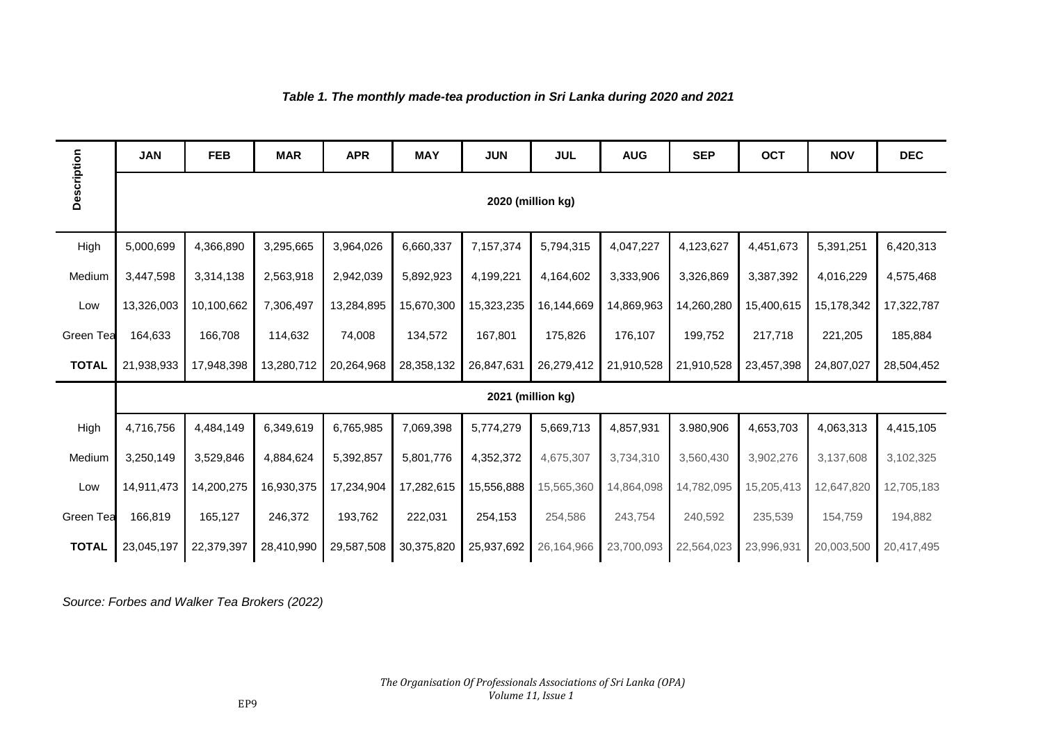## *Table 1. The monthly made-tea production in Sri Lanka during 2020 and 2021*

|              | <b>JAN</b>        | <b>FEB</b> | <b>MAR</b> | <b>APR</b> | <b>MAY</b> | <b>JUN</b> | <b>JUL</b> | <b>AUG</b> | <b>SEP</b> | <b>OCT</b> | <b>NOV</b> | <b>DEC</b> |
|--------------|-------------------|------------|------------|------------|------------|------------|------------|------------|------------|------------|------------|------------|
| Description  | 2020 (million kg) |            |            |            |            |            |            |            |            |            |            |            |
| High         | 5,000,699         | 4,366,890  | 3,295,665  | 3,964,026  | 6,660,337  | 7,157,374  | 5,794,315  | 4,047,227  | 4,123,627  | 4,451,673  | 5,391,251  | 6,420,313  |
| Medium       | 3,447,598         | 3,314,138  | 2,563,918  | 2,942,039  | 5,892,923  | 4,199,221  | 4,164,602  | 3,333,906  | 3,326,869  | 3,387,392  | 4,016,229  | 4,575,468  |
| Low          | 13,326,003        | 10,100,662 | 7,306,497  | 13,284,895 | 15,670,300 | 15,323,235 | 16,144,669 | 14,869,963 | 14,260,280 | 15,400,615 | 15,178,342 | 17,322,787 |
| Green Tea    | 164,633           | 166,708    | 114,632    | 74,008     | 134,572    | 167,801    | 175,826    | 176,107    | 199,752    | 217,718    | 221,205    | 185,884    |
| <b>TOTAL</b> | 21,938,933        | 17,948,398 | 13,280,712 | 20,264,968 | 28,358,132 | 26,847,631 | 26,279,412 | 21,910,528 | 21,910,528 | 23,457,398 | 24,807,027 | 28,504,452 |
|              | 2021 (million kg) |            |            |            |            |            |            |            |            |            |            |            |
| High         | 4,716,756         | 4,484,149  | 6,349,619  | 6,765,985  | 7,069,398  | 5,774,279  | 5,669,713  | 4,857,931  | 3.980,906  | 4,653,703  | 4,063,313  | 4,415,105  |
| Medium       | 3,250,149         | 3,529,846  | 4,884,624  | 5,392,857  | 5,801,776  | 4,352,372  | 4,675,307  | 3,734,310  | 3,560,430  | 3,902,276  | 3,137,608  | 3,102,325  |
| Low          | 14,911,473        | 14,200,275 | 16,930,375 | 17,234,904 | 17,282,615 | 15,556,888 | 15,565,360 | 14,864,098 | 14,782,095 | 15,205,413 | 12,647,820 | 12,705,183 |
| Green Tea    | 166,819           | 165,127    | 246,372    | 193,762    | 222,031    | 254,153    | 254,586    | 243,754    | 240,592    | 235,539    | 154,759    | 194,882    |
| <b>TOTAL</b> | 23,045,197        | 22,379,397 | 28,410,990 | 29,587,508 | 30,375,820 | 25,937,692 | 26,164,966 | 23,700,093 | 22,564,023 | 23,996,931 | 20,003,500 | 20,417,495 |

*Source: Forbes and Walker Tea Brokers (2022)*